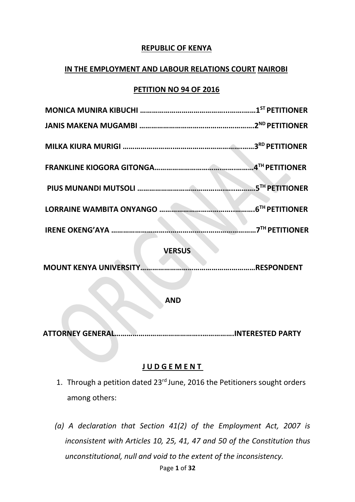## **REPUBLIC OF KENYA**

#### **IN THE EMPLOYMENT AND LABOUR RELATIONS COURT NAIROBI**

#### **PETITION NO 94 OF 2016**

|                         | <b>4TH PETITIONER</b>            |
|-------------------------|----------------------------------|
|                         | .5TH PETITIONER                  |
|                         | <b>6<sup>TH</sup> PETITIONER</b> |
| <b>IRENE OKENG'AYA </b> | .7TH PETITIONER                  |
| <b>VERSUS</b>           |                                  |
| MOUNT KENYA UNIVERSITY. | RESPONDENT                       |

**AND**

**ATTORNEY GENERAL……………………………………..…………….INTERESTED PARTY**

## **J U D G E M E N T**

- 1. Through a petition dated 23<sup>rd</sup> June, 2016 the Petitioners sought orders among others:
- Page **1** of **32** *(a) A declaration that Section 41(2) of the Employment Act, 2007 is inconsistent with Articles 10, 25, 41, 47 and 50 of the Constitution thus unconstitutional, null and void to the extent of the inconsistency.*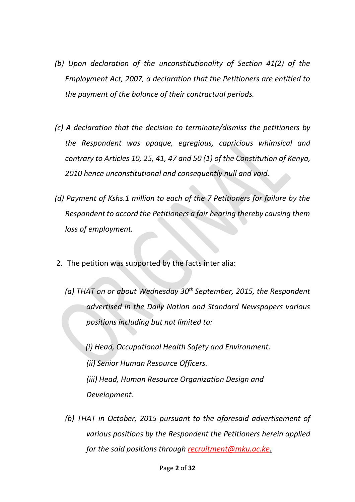- *(b) Upon declaration of the unconstitutionality of Section 41(2) of the Employment Act, 2007, a declaration that the Petitioners are entitled to the payment of the balance of their contractual periods.*
- *(c) A declaration that the decision to terminate/dismiss the petitioners by the Respondent was opaque, egregious, capricious whimsical and contrary to Articles 10, 25, 41, 47 and 50 (1) of the Constitution of Kenya, 2010 hence unconstitutional and consequently null and void.*
- *(d) Payment of Kshs.1 million to each of the 7 Petitioners for failure by the Respondent to accord the Petitioners a fair hearing thereby causing them loss of employment.*
- 2. The petition was supported by the facts inter alia:
	- *(a) THAT on or about Wednesday 30th September, 2015, the Respondent advertised in the Daily Nation and Standard Newspapers various positions including but not limited to:*

 *(i) Head, Occupational Health Safety and Environment. (ii) Senior Human Resource Officers. (iii) Head, Human Resource Organization Design and Development.*

*(b) THAT in October, 2015 pursuant to the aforesaid advertisement of various positions by the Respondent the Petitioners herein applied for the said positions through recruitment@mku.ac.ke.*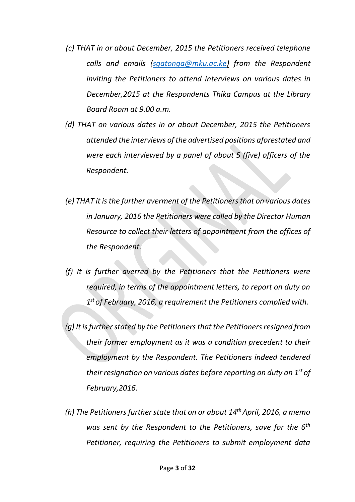- *(c) THAT in or about December, 2015 the Petitioners received telephone calls and emails (sgatonga@mku.ac.ke) from the Respondent inviting the Petitioners to attend interviews on various dates in December,2015 at the Respondents Thika Campus at the Library Board Room at 9.00 a.m.*
- *(d) THAT on various dates in or about December, 2015 the Petitioners attended the interviews of the advertised positions aforestated and were each interviewed by a panel of about 5 (five) officers of the Respondent.*
- *(e) THAT it is the further averment of the Petitioners that on various dates in January, 2016 the Petitioners were called by the Director Human Resource to collect their letters of appointment from the offices of the Respondent.*
- *(f) It is further averred by the Petitioners that the Petitioners were required, in terms of the appointment letters, to report on duty on 1 st of February, 2016, a requirement the Petitioners complied with.*
- *(g) It is further stated by the Petitioners that the Petitioners resigned from their former employment as it was a condition precedent to their employment by the Respondent. The Petitioners indeed tendered their resignation on various dates before reporting on duty on 1st of February,2016.*
- *(h) The Petitioners further state that on or about 14th April, 2016, a memo was sent by the Respondent to the Petitioners, save for the 6th Petitioner, requiring the Petitioners to submit employment data*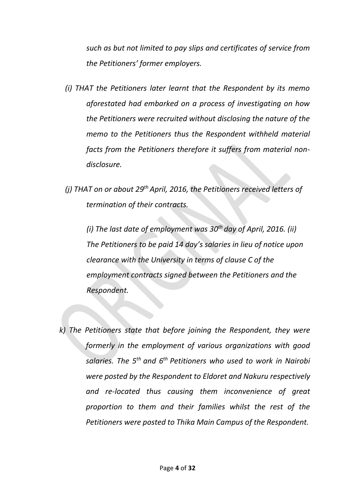*such as but not limited to pay slips and certificates of service from the Petitioners' former employers.*

- *(i) THAT the Petitioners later learnt that the Respondent by its memo aforestated had embarked on a process of investigating on how the Petitioners were recruited without disclosing the nature of the memo to the Petitioners thus the Respondent withheld material facts from the Petitioners therefore it suffers from material nondisclosure.*
- *(j) THAT on or about 29th April, 2016, the Petitioners received letters of termination of their contracts.*

*(i) The last date of employment was 30th day of April, 2016. (ii) The Petitioners to be paid 14 day's salaries in lieu of notice upon clearance with the University in terms of clause C of the employment contracts signed between the Petitioners and the Respondent.*

*k) The Petitioners state that before joining the Respondent, they were formerly in the employment of various organizations with good salaries. The 5th and 6th Petitioners who used to work in Nairobi were posted by the Respondent to Eldoret and Nakuru respectively and re-located thus causing them inconvenience of great proportion to them and their families whilst the rest of the Petitioners were posted to Thika Main Campus of the Respondent.*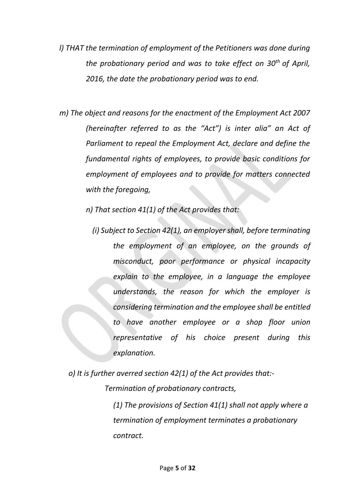- *l) THAT the termination of employment of the Petitioners was done during the probationary period and was to take effect on 30th of April, 2016, the date the probationary period was to end.*
- *m) The object and reasons for the enactment of the Employment Act 2007 (hereinafter referred to as the "Act") is inter alia" an Act of Parliament to repeal the Employment Act, declare and define the fundamental rights of employees, to provide basic conditions for employment of employees and to provide for matters connected with the foregoing,*
	- *n) That section 41(1) of the Act provides that:*
		- *(i) Subject to Section 42(1), an employer shall, before terminating the employment of an employee, on the grounds of misconduct, poor performance or physical incapacity explain to the employee, in a language the employee understands, the reason for which the employer is considering termination and the employee shall be entitled to have another employee or a shop floor union representative of his choice present during this explanation.*

*o) It is further averred section 42(1) of the Act provides that:- Termination of probationary contracts,*

> *(1) The provisions of Section 41(1) shall not apply where a termination of employment terminates a probationary contract.*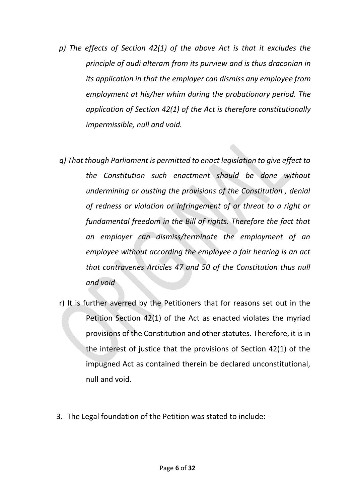- *p) The effects of Section 42(1) of the above Act is that it excludes the principle of audi alteram from its purview and is thus draconian in its application in that the employer can dismiss any employee from employment at his/her whim during the probationary period. The application of Section 42(1) of the Act is therefore constitutionally impermissible, null and void.*
- *q) That though Parliament is permitted to enact legislation to give effect to the Constitution such enactment should be done without undermining or ousting the provisions of the Constitution , denial of redness or violation or infringement of or threat to a right or fundamental freedom in the Bill of rights. Therefore the fact that an employer can dismiss/terminate the employment of an employee without according the employee a fair hearing is an act that contravenes Articles 47 and 50 of the Constitution thus null and void*
- r) It is further averred by the Petitioners that for reasons set out in the Petition Section 42(1) of the Act as enacted violates the myriad provisions of the Constitution and other statutes. Therefore, it is in the interest of justice that the provisions of Section 42(1) of the impugned Act as contained therein be declared unconstitutional, null and void.
- 3. The Legal foundation of the Petition was stated to include: -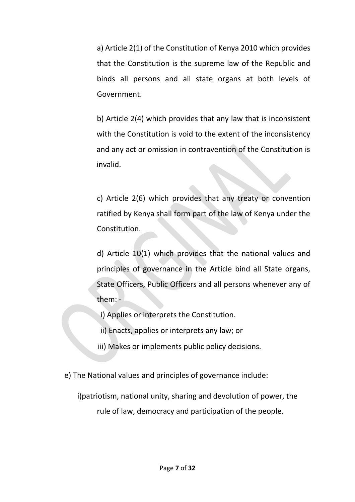a) Article 2(1) of the Constitution of Kenya 2010 which provides that the Constitution is the supreme law of the Republic and binds all persons and all state organs at both levels of Government.

b) Article 2(4) which provides that any law that is inconsistent with the Constitution is void to the extent of the inconsistency and any act or omission in contravention of the Constitution is invalid.

c) Article 2(6) which provides that any treaty or convention ratified by Kenya shall form part of the law of Kenya under the Constitution.

d) Article 10(1) which provides that the national values and principles of governance in the Article bind all State organs, State Officers, Public Officers and all persons whenever any of them: -

- i) Applies or interprets the Constitution.
- ii) Enacts, applies or interprets any law; or
- iii) Makes or implements public policy decisions.

e) The National values and principles of governance include:

i)patriotism, national unity, sharing and devolution of power, the rule of law, democracy and participation of the people.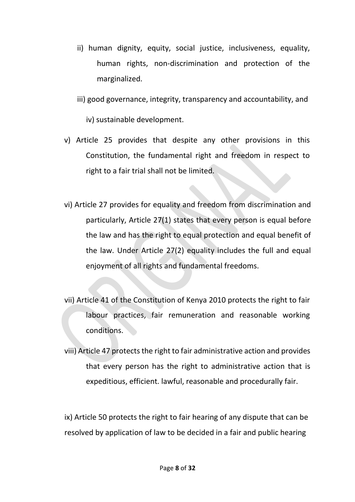- ii) human dignity, equity, social justice, inclusiveness, equality, human rights, non-discrimination and protection of the marginalized.
- iii) good governance, integrity, transparency and accountability, and

iv) sustainable development.

- v) Article 25 provides that despite any other provisions in this Constitution, the fundamental right and freedom in respect to right to a fair trial shall not be limited.
- vi) Article 27 provides for equality and freedom from discrimination and particularly, Article 27(1) states that every person is equal before the law and has the right to equal protection and equal benefit of the law. Under Article 27(2) equality includes the full and equal enjoyment of all rights and fundamental freedoms.
- vii) Article 41 of the Constitution of Kenya 2010 protects the right to fair labour practices, fair remuneration and reasonable working conditions.
- viii) Article 47 protects the right to fair administrative action and provides that every person has the right to administrative action that is expeditious, efficient. lawful, reasonable and procedurally fair.

ix) Article 50 protects the right to fair hearing of any dispute that can be resolved by application of law to be decided in a fair and public hearing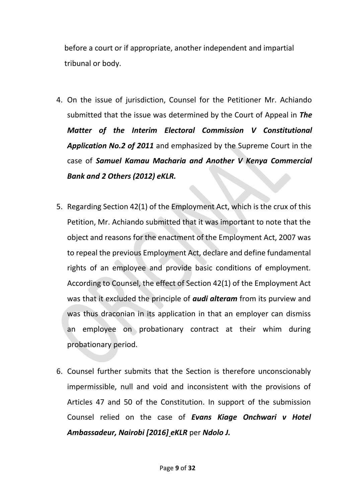before a court or if appropriate, another independent and impartial tribunal or body.

- 4. On the issue of jurisdiction, Counsel for the Petitioner Mr. Achiando submitted that the issue was determined by the Court of Appeal in *The Matter of the Interim Electoral Commission V Constitutional Application No.2 of 2011* and emphasized by the Supreme Court in the case of *Samuel Kamau Macharia and Another V Kenya Commercial Bank and 2 Others (2012) eKLR.*
- 5. Regarding Section 42(1) of the Employment Act, which is the crux of this Petition, Mr. Achiando submitted that it was important to note that the object and reasons for the enactment of the Employment Act, 2007 was to repeal the previous Employment Act, declare and define fundamental rights of an employee and provide basic conditions of employment. According to Counsel, the effect of Section 42(1) of the Employment Act was that it excluded the principle of *audi alteram* from its purview and was thus draconian in its application in that an employer can dismiss an employee on probationary contract at their whim during probationary period.
- 6. Counsel further submits that the Section is therefore unconscionably impermissible, null and void and inconsistent with the provisions of Articles 47 and 50 of the Constitution. In support of the submission Counsel relied on the case of *Evans Kiage Onchwari v Hotel Ambassadeur, Nairobi [2016] eKLR* per *Ndolo J.*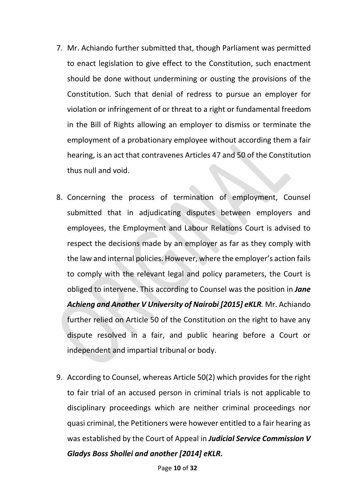- 7. Mr. Achiando further submitted that, though Parliament was permitted to enact legislation to give effect to the Constitution, such enactment should be done without undermining or ousting the provisions of the Constitution. Such that denial of redress to pursue an employer for violation or infringement of or threat to a right or fundamental freedom in the Bill of Rights allowing an employer to dismiss or terminate the employment of a probationary employee without according them a fair hearing, is an act that contravenes Articles 47 and 50 of the Constitution thus null and void.
- 8. Concerning the process of termination of employment, Counsel submitted that in adjudicating disputes between employers and employees, the Employment and Labour Relations Court is advised to respect the decisions made by an employer as far as they comply with the law and internal policies. However, where the employer's action fails to comply with the relevant legal and policy parameters, the Court is obliged to intervene. This according to Counsel was the position in *Jane Achieng and Another V University of Nairobi [2015] eKLR.* Mr. Achiando further relied on Article 50 of the Constitution on the right to have any dispute resolved in a fair, and public hearing before a Court or independent and impartial tribunal or body.
- 9. According to Counsel, whereas Article 50(2) which provides for the right to fair trial of an accused person in criminal trials is not applicable to disciplinary proceedings which are neither criminal proceedings nor quasi criminal, the Petitioners were however entitled to a fair hearing as was established by the Court of Appeal in *Judicial Service Commission V Gladys Boss Shollei and another [2014] eKLR.*

Page **10** of **32**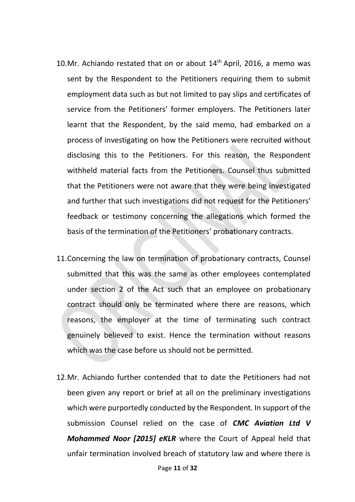- 10.Mr. Achiando restated that on or about  $14<sup>th</sup>$  April, 2016, a memo was sent by the Respondent to the Petitioners requiring them to submit employment data such as but not limited to pay slips and certificates of service from the Petitioners' former employers. The Petitioners later learnt that the Respondent, by the said memo, had embarked on a process of investigating on how the Petitioners were recruited without disclosing this to the Petitioners. For this reason, the Respondent withheld material facts from the Petitioners. Counsel thus submitted that the Petitioners were not aware that they were being investigated and further that such investigations did not request for the Petitioners' feedback or testimony concerning the allegations which formed the basis of the termination of the Petitioners' probationary contracts.
- 11.Concerning the law on termination of probationary contracts, Counsel submitted that this was the same as other employees contemplated under section 2 of the Act such that an employee on probationary contract should only be terminated where there are reasons, which reasons, the employer at the time of terminating such contract genuinely believed to exist. Hence the termination without reasons which was the case before us should not be permitted.
- 12.Mr. Achiando further contended that to date the Petitioners had not been given any report or brief at all on the preliminary investigations which were purportedly conducted by the Respondent. In support of the submission Counsel relied on the case of *CMC Aviation Ltd V Mohammed Noor [2015] eKLR* where the Court of Appeal held that unfair termination involved breach of statutory law and where there is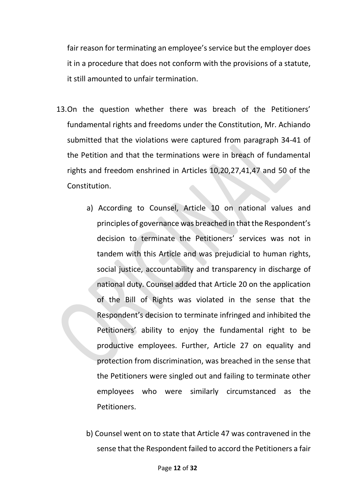fair reason for terminating an employee's service but the employer does it in a procedure that does not conform with the provisions of a statute, it still amounted to unfair termination.

- 13.On the question whether there was breach of the Petitioners' fundamental rights and freedoms under the Constitution, Mr. Achiando submitted that the violations were captured from paragraph 34-41 of the Petition and that the terminations were in breach of fundamental rights and freedom enshrined in Articles 10,20,27,41,47 and 50 of the Constitution.
	- a) According to Counsel, Article 10 on national values and principles of governance was breached in that the Respondent's decision to terminate the Petitioners' services was not in tandem with this Article and was prejudicial to human rights, social justice, accountability and transparency in discharge of national duty. Counsel added that Article 20 on the application of the Bill of Rights was violated in the sense that the Respondent's decision to terminate infringed and inhibited the Petitioners' ability to enjoy the fundamental right to be productive employees. Further, Article 27 on equality and protection from discrimination, was breached in the sense that the Petitioners were singled out and failing to terminate other employees who were similarly circumstanced as the Petitioners.
	- b) Counsel went on to state that Article 47 was contravened in the sense that the Respondent failed to accord the Petitioners a fair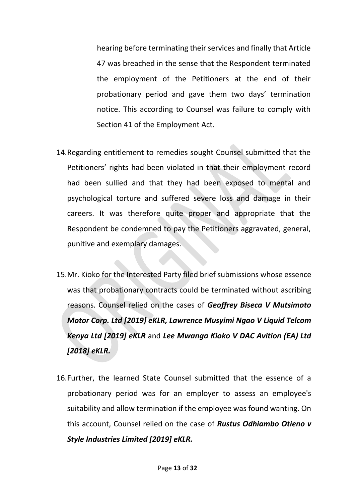hearing before terminating their services and finally that Article 47 was breached in the sense that the Respondent terminated the employment of the Petitioners at the end of their probationary period and gave them two days' termination notice. This according to Counsel was failure to comply with Section 41 of the Employment Act.

- 14.Regarding entitlement to remedies sought Counsel submitted that the Petitioners' rights had been violated in that their employment record had been sullied and that they had been exposed to mental and psychological torture and suffered severe loss and damage in their careers. It was therefore quite proper and appropriate that the Respondent be condemned to pay the Petitioners aggravated, general, punitive and exemplary damages.
- 15.Mr. Kioko for the Interested Party filed brief submissions whose essence was that probationary contracts could be terminated without ascribing reasons. Counsel relied on the cases of *Geoffrey Biseca V Mutsimoto Motor Corp. Ltd [2019] eKLR, Lawrence Musyimi Ngao V Liquid Telcom Kenya Ltd [2019] eKLR* and *Lee Mwanga Kioko V DAC Avition (EA) Ltd [2018] eKLR.*
- 16.Further, the learned State Counsel submitted that the essence of a probationary period was for an employer to assess an employee's suitability and allow termination if the employee was found wanting. On this account, Counsel relied on the case of *Rustus Odhiambo Otieno v Style Industries Limited [2019] eKLR.*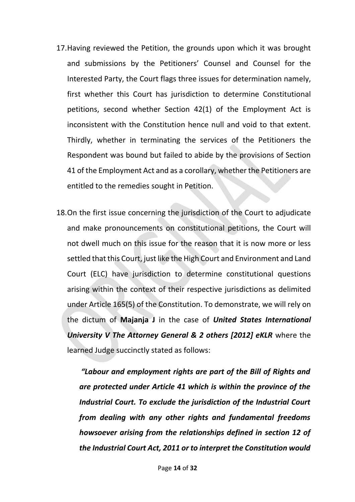- 17.Having reviewed the Petition, the grounds upon which it was brought and submissions by the Petitioners' Counsel and Counsel for the Interested Party, the Court flags three issues for determination namely, first whether this Court has jurisdiction to determine Constitutional petitions, second whether Section 42(1) of the Employment Act is inconsistent with the Constitution hence null and void to that extent. Thirdly, whether in terminating the services of the Petitioners the Respondent was bound but failed to abide by the provisions of Section 41 of the Employment Act and as a corollary, whether the Petitioners are entitled to the remedies sought in Petition.
- 18.On the first issue concerning the jurisdiction of the Court to adjudicate and make pronouncements on constitutional petitions, the Court will not dwell much on this issue for the reason that it is now more or less settled that this Court, just like the High Court and Environment and Land Court (ELC) have jurisdiction to determine constitutional questions arising within the context of their respective jurisdictions as delimited under Article 165(5) of the Constitution. To demonstrate, we will rely on the dictum of **Majanja J** in the case of *United States International University V The Attorney General & 2 others [2012] eKLR* where the learned Judge succinctly stated as follows:

*"Labour and employment rights are part of the Bill of Rights and are protected under Article 41 which is within the province of the Industrial Court. To exclude the jurisdiction of the Industrial Court from dealing with any other rights and fundamental freedoms howsoever arising from the relationships defined in section 12 of the Industrial Court Act, 2011 or to interpret the Constitution would*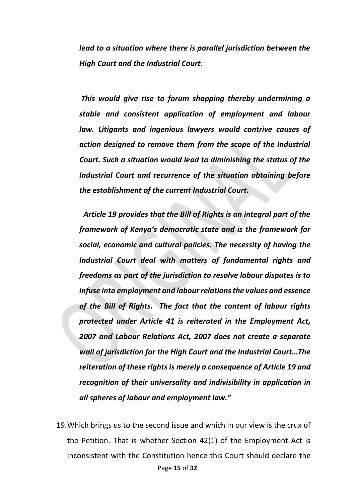*lead to a situation where there is parallel jurisdiction between the High Court and the Industrial Court.*

*This would give rise to forum shopping thereby undermining a stable and consistent application of employment and labour law. Litigants and ingenious lawyers would contrive causes of action designed to remove them from the scope of the Industrial Court. Such a situation would lead to diminishing the status of the Industrial Court and recurrence of the situation obtaining before the establishment of the current Industrial Court.*

*Article 19 provides that the Bill of Rights is an integral part of the framework of Kenya's democratic state and is the framework for social, economic and cultural policies. The necessity of having the Industrial Court deal with matters of fundamental rights and freedoms as part of the jurisdiction to resolve labour disputes is to infuse into employment and labour relations the values and essence of the Bill of Rights. The fact that the content of labour rights protected under Article 41 is reiterated in the Employment Act, 2007 and Labour Relations Act, 2007 does not create a separate wall of jurisdiction for the High Court and the Industrial Court…The reiteration of these rights is merely a consequence of Article 19 and recognition of their universality and indivisibility in application in all spheres of labour and employment law."*

Page **15** of **32** 19.Which brings us to the second issue and which in our view is the crux of the Petition. That is whether Section 42(1) of the Employment Act is inconsistent with the Constitution hence this Court should declare the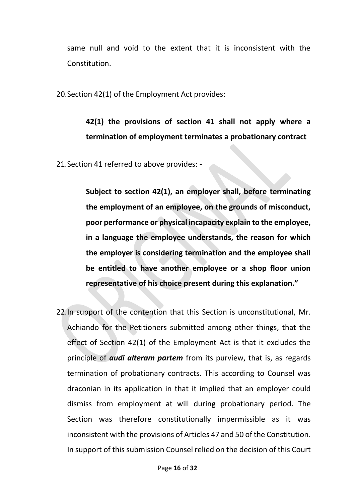same null and void to the extent that it is inconsistent with the Constitution.

20.Section 42(1) of the Employment Act provides:

## **42(1) the provisions of section 41 shall not apply where a termination of employment terminates a probationary contract**

21.Section 41 referred to above provides: -

**Subject to section 42(1), an employer shall, before terminating the employment of an employee, on the grounds of misconduct, poor performance or physical incapacity explain to the employee, in a language the employee understands, the reason for which the employer is considering termination and the employee shall be entitled to have another employee or a shop floor union representative of his choice present during this explanation."**

22.In support of the contention that this Section is unconstitutional, Mr. Achiando for the Petitioners submitted among other things, that the effect of Section 42(1) of the Employment Act is that it excludes the principle of *audi alteram partem* from its purview, that is, as regards termination of probationary contracts. This according to Counsel was draconian in its application in that it implied that an employer could dismiss from employment at will during probationary period. The Section was therefore constitutionally impermissible as it was inconsistent with the provisions of Articles 47 and 50 of the Constitution. In support of this submission Counsel relied on the decision of this Court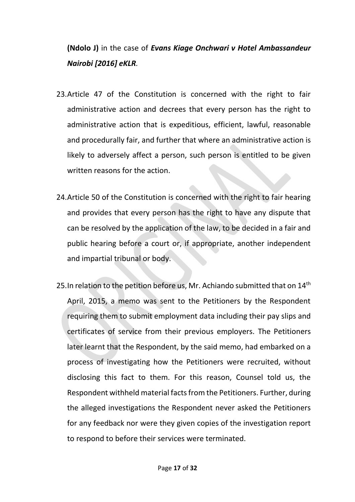# **(Ndolo J)** in the case of *Evans Kiage Onchwari v Hotel Ambassandeur Nairobi [2016] eKLR.*

- 23.Article 47 of the Constitution is concerned with the right to fair administrative action and decrees that every person has the right to administrative action that is expeditious, efficient, lawful, reasonable and procedurally fair, and further that where an administrative action is likely to adversely affect a person, such person is entitled to be given written reasons for the action.
- 24.Article 50 of the Constitution is concerned with the right to fair hearing and provides that every person has the right to have any dispute that can be resolved by the application of the law, to be decided in a fair and public hearing before a court or, if appropriate, another independent and impartial tribunal or body.
- 25. In relation to the petition before us, Mr. Achiando submitted that on 14<sup>th</sup> April, 2015, a memo was sent to the Petitioners by the Respondent requiring them to submit employment data including their pay slips and certificates of service from their previous employers. The Petitioners later learnt that the Respondent, by the said memo, had embarked on a process of investigating how the Petitioners were recruited, without disclosing this fact to them. For this reason, Counsel told us, the Respondent withheld material facts from the Petitioners. Further, during the alleged investigations the Respondent never asked the Petitioners for any feedback nor were they given copies of the investigation report to respond to before their services were terminated.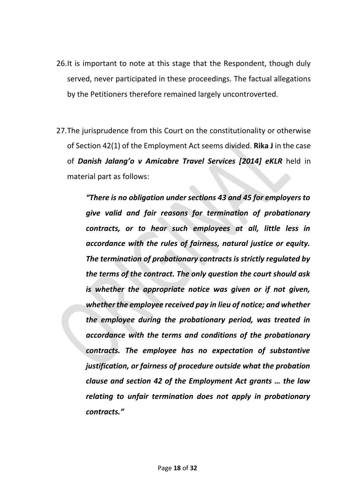- 26.It is important to note at this stage that the Respondent, though duly served, never participated in these proceedings. The factual allegations by the Petitioners therefore remained largely uncontroverted.
- 27.The jurisprudence from this Court on the constitutionality or otherwise of Section 42(1) of the Employment Act seems divided. **Rika J** in the case of *Danish Jalang'o v Amicabre Travel Services [2014] eKLR* held in material part as follows:

*"There is no obligation under sections 43 and 45 for employers to give valid and fair reasons for termination of probationary contracts, or to hear such employees at all, little less in accordance with the rules of fairness, natural justice or equity. The termination of probationary contracts is strictly regulated by the terms of the contract. The only question the court should ask is whether the appropriate notice was given or if not given, whether the employee received pay in lieu of notice; and whether the employee during the probationary period, was treated in accordance with the terms and conditions of the probationary contracts. The employee has no expectation of substantive justification, or fairness of procedure outside what the probation clause and section 42 of the Employment Act grants … the law relating to unfair termination does not apply in probationary contracts."*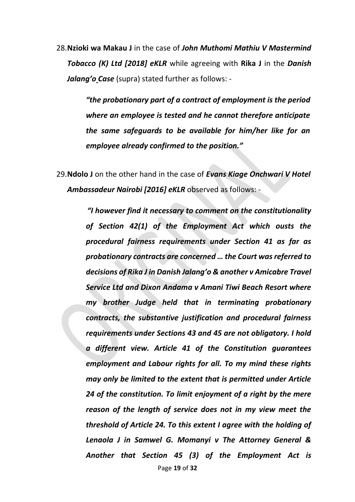28.**Nzioki wa Makau J** in the case of *John Muthomi Mathiu V Mastermind Tobacco (K) Ltd [2018] eKLR* while agreeing with **Rika J** in the *Danish Jalang'o Case* (supra) stated further as follows: -

> *"the probationary part of a contract of employment is the period where an employee is tested and he cannot therefore anticipate the same safeguards to be available for him/her like for an employee already confirmed to the position."*

29.**Ndolo J** on the other hand in the case of *Evans Kiage Onchwari V Hotel Ambassadeur Nairobi [2016] eKLR* observed as follows: -

> Page **19** of **32** *"I however find it necessary to comment on the constitutionality of Section 42(1) of the Employment Act which ousts the procedural fairness requirements under Section 41 as far as probationary contracts are concerned … the Court was referred to decisions of Rika J in Danish Jalang'o & another v Amicabre Travel Service Ltd and Dixon Andama v Amani Tiwi Beach Resort where my brother Judge held that in terminating probationary contracts, the substantive justification and procedural fairness requirements under Sections 43 and 45 are not obligatory. I hold a different view. Article 41 of the Constitution guarantees employment and Labour rights for all. To my mind these rights may only be limited to the extent that is permitted under Article 24 of the constitution. To limit enjoyment of a right by the mere reason of the length of service does not in my view meet the threshold of Article 24. To this extent I agree with the holding of Lenaola J in Samwel G. Momanyi v The Attorney General & Another that Section 45 (3) of the Employment Act is*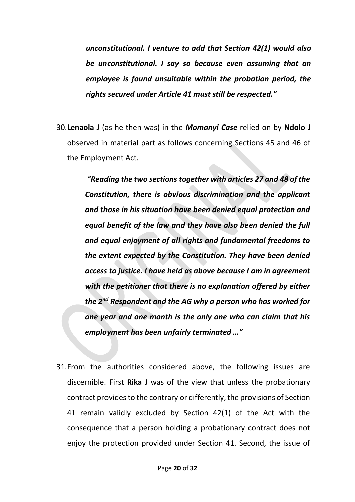*unconstitutional. I venture to add that Section 42(1) would also be unconstitutional. I say so because even assuming that an employee is found unsuitable within the probation period, the rights secured under Article 41 must still be respected."*

30.**Lenaola J** (as he then was) in the *Momanyi Case* relied on by **Ndolo J** observed in material part as follows concerning Sections 45 and 46 of the Employment Act.

> *"Reading the two sections together with articles 27 and 48 of the Constitution, there is obvious discrimination and the applicant and those in his situation have been denied equal protection and equal benefit of the law and they have also been denied the full and equal enjoyment of all rights and fundamental freedoms to the extent expected by the Constitution. They have been denied access to justice. I have held as above because I am in agreement with the petitioner that there is no explanation offered by either the 2nd Respondent and the AG why a person who has worked for one year and one month is the only one who can claim that his employment has been unfairly terminated …"*

31.From the authorities considered above, the following issues are discernible. First **Rika J** was of the view that unless the probationary contract provides to the contrary or differently, the provisions of Section 41 remain validly excluded by Section 42(1) of the Act with the consequence that a person holding a probationary contract does not enjoy the protection provided under Section 41. Second, the issue of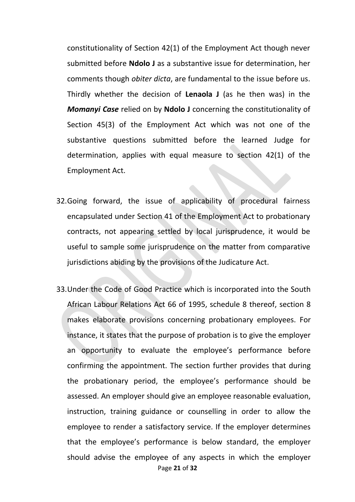constitutionality of Section 42(1) of the Employment Act though never submitted before **Ndolo J** as a substantive issue for determination, her comments though *obiter dicta*, are fundamental to the issue before us. Thirdly whether the decision of **Lenaola J** (as he then was) in the *Momanyi Case* relied on by **Ndolo J** concerning the constitutionality of Section 45(3) of the Employment Act which was not one of the substantive questions submitted before the learned Judge for determination, applies with equal measure to section 42(1) of the Employment Act.

- 32.Going forward, the issue of applicability of procedural fairness encapsulated under Section 41 of the Employment Act to probationary contracts, not appearing settled by local jurisprudence, it would be useful to sample some jurisprudence on the matter from comparative jurisdictions abiding by the provisions of the Judicature Act.
- Page **21** of **32** 33.Under the Code of Good Practice which is incorporated into the South African Labour Relations Act 66 of 1995, schedule 8 thereof, section 8 makes elaborate provisions concerning probationary employees. For instance, it states that the purpose of probation is to give the employer an opportunity to evaluate the employee's performance before confirming the appointment. The section further provides that during the probationary period, the employee's performance should be assessed. An employer should give an employee reasonable evaluation, instruction, training guidance or counselling in order to allow the employee to render a satisfactory service. If the employer determines that the employee's performance is below standard, the employer should advise the employee of any aspects in which the employer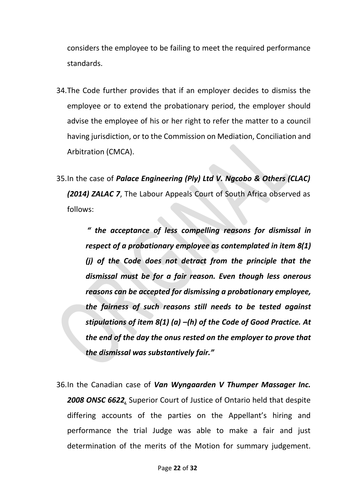considers the employee to be failing to meet the required performance standards.

- 34.The Code further provides that if an employer decides to dismiss the employee or to extend the probationary period, the employer should advise the employee of his or her right to refer the matter to a council having jurisdiction, or to the Commission on Mediation, Conciliation and Arbitration (CMCA).
- 35.In the case of *Palace Engineering (Ply) Ltd V. Ngcobo & Others (CLAC) (2014) ZALAC 7*, The Labour Appeals Court of South Africa observed as follows:

*" the acceptance of less compelling reasons for dismissal in respect of a probationary employee as contemplated in item 8(1) (j) of the Code does not detract from the principle that the dismissal must be for a fair reason. Even though less onerous reasons can be accepted for dismissing a probationary employee, the fairness of such reasons still needs to be tested against stipulations of item 8(1) (a) –(h) of the Code of Good Practice. At the end of the day the onus rested on the employer to prove that the dismissal was substantively fair."*

36.In the Canadian case of *Van Wyngaarden V Thumper Massager Inc. 2008 ONSC 6622,* Superior Court of Justice of Ontario held that despite differing accounts of the parties on the Appellant's hiring and performance the trial Judge was able to make a fair and just determination of the merits of the Motion for summary judgement.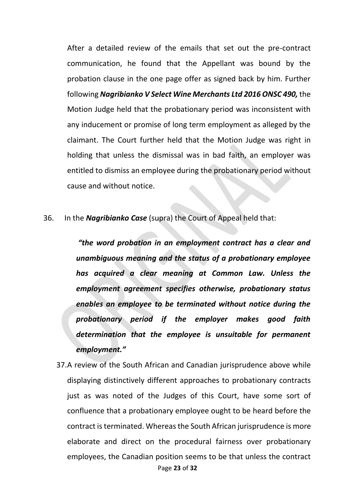After a detailed review of the emails that set out the pre-contract communication, he found that the Appellant was bound by the probation clause in the one page offer as signed back by him. Further following *Nagribianko V Select Wine Merchants Ltd 2016 ONSC 490,* the Motion Judge held that the probationary period was inconsistent with any inducement or promise of long term employment as alleged by the claimant. The Court further held that the Motion Judge was right in holding that unless the dismissal was in bad faith, an employer was entitled to dismiss an employee during the probationary period without cause and without notice.

36. In the *Nagribianko Case* (supra) the Court of Appeal held that:

*"the word probation in an employment contract has a clear and unambiguous meaning and the status of a probationary employee has acquired a clear meaning at Common Law. Unless the employment agreement specifies otherwise, probationary status enables an employee to be terminated without notice during the probationary period if the employer makes good faith determination that the employee is unsuitable for permanent employment."*

Page **23** of **32** 37.A review of the South African and Canadian jurisprudence above while displaying distinctively different approaches to probationary contracts just as was noted of the Judges of this Court, have some sort of confluence that a probationary employee ought to be heard before the contract is terminated. Whereas the South African jurisprudence is more elaborate and direct on the procedural fairness over probationary employees, the Canadian position seems to be that unless the contract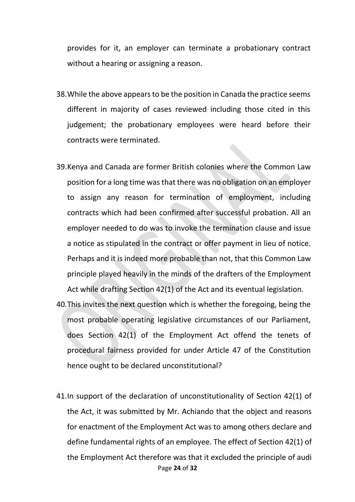provides for it, an employer can terminate a probationary contract without a hearing or assigning a reason.

- 38.While the above appears to be the position in Canada the practice seems different in majority of cases reviewed including those cited in this judgement; the probationary employees were heard before their contracts were terminated.
- 39.Kenya and Canada are former British colonies where the Common Law position for a long time was that there was no obligation on an employer to assign any reason for termination of employment, including contracts which had been confirmed after successful probation. All an employer needed to do was to invoke the termination clause and issue a notice as stipulated in the contract or offer payment in lieu of notice. Perhaps and it is indeed more probable than not, that this Common Law principle played heavily in the minds of the drafters of the Employment Act while drafting Section 42(1) of the Act and its eventual legislation.
- 40.This invites the next question which is whether the foregoing, being the most probable operating legislative circumstances of our Parliament, does Section 42(1) of the Employment Act offend the tenets of procedural fairness provided for under Article 47 of the Constitution hence ought to be declared unconstitutional?
- Page **24** of **32** 41.In support of the declaration of unconstitutionality of Section 42(1) of the Act, it was submitted by Mr. Achiando that the object and reasons for enactment of the Employment Act was to among others declare and define fundamental rights of an employee. The effect of Section 42(1) of the Employment Act therefore was that it excluded the principle of audi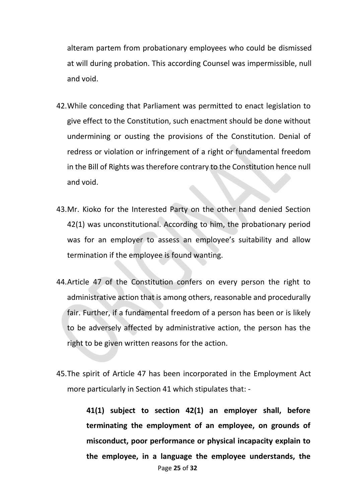alteram partem from probationary employees who could be dismissed at will during probation. This according Counsel was impermissible, null and void.

- 42.While conceding that Parliament was permitted to enact legislation to give effect to the Constitution, such enactment should be done without undermining or ousting the provisions of the Constitution. Denial of redress or violation or infringement of a right or fundamental freedom in the Bill of Rights was therefore contrary to the Constitution hence null and void.
- 43.Mr. Kioko for the Interested Party on the other hand denied Section 42(1) was unconstitutional. According to him, the probationary period was for an employer to assess an employee's suitability and allow termination if the employee is found wanting.
- 44.Article 47 of the Constitution confers on every person the right to administrative action that is among others, reasonable and procedurally fair. Further, if a fundamental freedom of a person has been or is likely to be adversely affected by administrative action, the person has the right to be given written reasons for the action.
- 45.The spirit of Article 47 has been incorporated in the Employment Act more particularly in Section 41 which stipulates that: -

Page **25** of **32 41(1) subject to section 42(1) an employer shall, before terminating the employment of an employee, on grounds of misconduct, poor performance or physical incapacity explain to the employee, in a language the employee understands, the**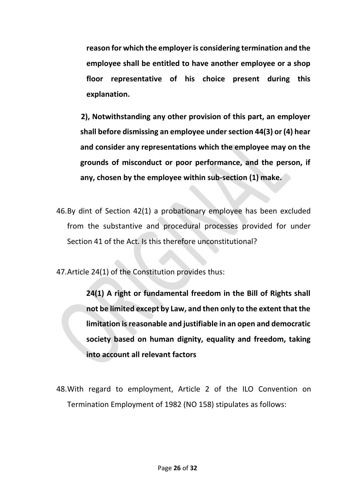**reason for which the employer is considering termination and the employee shall be entitled to have another employee or a shop floor representative of his choice present during this explanation.**

**2), Notwithstanding any other provision of this part, an employer shall before dismissing an employee under section 44(3) or (4) hear and consider any representations which the employee may on the grounds of misconduct or poor performance, and the person, if any, chosen by the employee within sub-section (1) make.**

46.By dint of Section 42(1) a probationary employee has been excluded from the substantive and procedural processes provided for under Section 41 of the Act. Is this therefore unconstitutional?

47.Article 24(1) of the Constitution provides thus:

**24(1) A right or fundamental freedom in the Bill of Rights shall not be limited except by Law, and then only to the extent that the limitation is reasonable and justifiable in an open and democratic society based on human dignity, equality and freedom, taking into account all relevant factors**

48.With regard to employment, Article 2 of the ILO Convention on Termination Employment of 1982 (NO 158) stipulates as follows: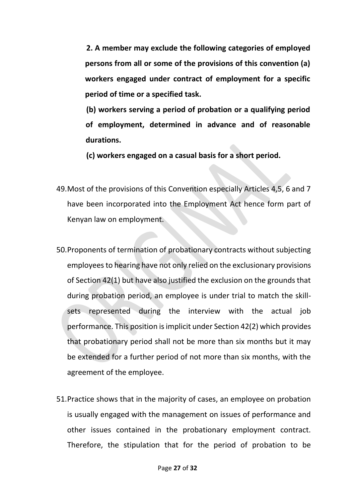**2. A member may exclude the following categories of employed persons from all or some of the provisions of this convention (a) workers engaged under contract of employment for a specific period of time or a specified task.**

**(b) workers serving a period of probation or a qualifying period of employment, determined in advance and of reasonable durations.**

**(c) workers engaged on a casual basis for a short period.**

- 49.Most of the provisions of this Convention especially Articles 4,5, 6 and 7 have been incorporated into the Employment Act hence form part of Kenyan law on employment.
- 50.Proponents of termination of probationary contracts without subjecting employees to hearing have not only relied on the exclusionary provisions of Section 42(1) but have also justified the exclusion on the grounds that during probation period, an employee is under trial to match the skillsets represented during the interview with the actual job performance. This position is implicit under Section 42(2) which provides that probationary period shall not be more than six months but it may be extended for a further period of not more than six months, with the agreement of the employee.
- 51.Practice shows that in the majority of cases, an employee on probation is usually engaged with the management on issues of performance and other issues contained in the probationary employment contract. Therefore, the stipulation that for the period of probation to be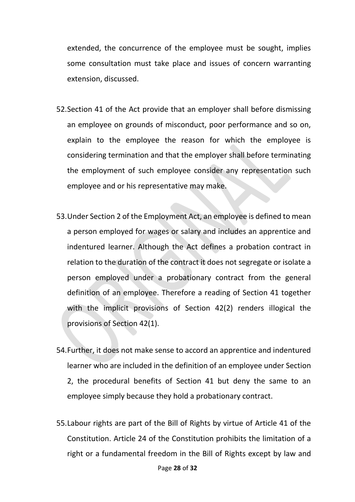extended, the concurrence of the employee must be sought, implies some consultation must take place and issues of concern warranting extension, discussed.

- 52.Section 41 of the Act provide that an employer shall before dismissing an employee on grounds of misconduct, poor performance and so on, explain to the employee the reason for which the employee is considering termination and that the employer shall before terminating the employment of such employee consider any representation such employee and or his representative may make.
- 53.Under Section 2 of the Employment Act, an employee is defined to mean a person employed for wages or salary and includes an apprentice and indentured learner. Although the Act defines a probation contract in relation to the duration of the contract it does not segregate or isolate a person employed under a probationary contract from the general definition of an employee. Therefore a reading of Section 41 together with the implicit provisions of Section 42(2) renders illogical the provisions of Section 42(1).
- 54.Further, it does not make sense to accord an apprentice and indentured learner who are included in the definition of an employee under Section 2, the procedural benefits of Section 41 but deny the same to an employee simply because they hold a probationary contract.
- 55.Labour rights are part of the Bill of Rights by virtue of Article 41 of the Constitution. Article 24 of the Constitution prohibits the limitation of a right or a fundamental freedom in the Bill of Rights except by law and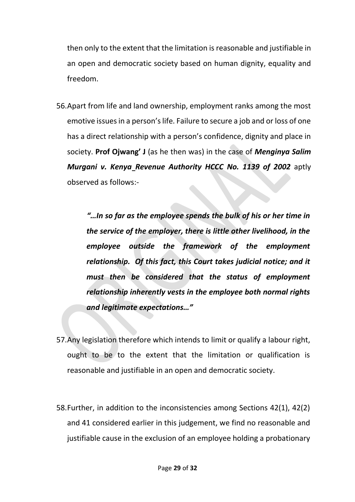then only to the extent that the limitation is reasonable and justifiable in an open and democratic society based on human dignity, equality and freedom.

56.Apart from life and land ownership, employment ranks among the most emotive issues in a person's life. Failure to secure a job and or loss of one has a direct relationship with a person's confidence, dignity and place in society. **Prof Ojwang' J** (as he then was) in the case of *Menginya Salim Murgani v. Kenya Revenue Authority HCCC No. 1139 of 2002* aptly observed as follows:-

> *"…In so far as the employee spends the bulk of his or her time in the service of the employer, there is little other livelihood, in the employee outside the framework of the employment relationship. Of this fact, this Court takes judicial notice; and it must then be considered that the status of employment relationship inherently vests in the employee both normal rights and legitimate expectations…"*

- 57.Any legislation therefore which intends to limit or qualify a labour right, ought to be to the extent that the limitation or qualification is reasonable and justifiable in an open and democratic society.
- 58.Further, in addition to the inconsistencies among Sections 42(1), 42(2) and 41 considered earlier in this judgement, we find no reasonable and justifiable cause in the exclusion of an employee holding a probationary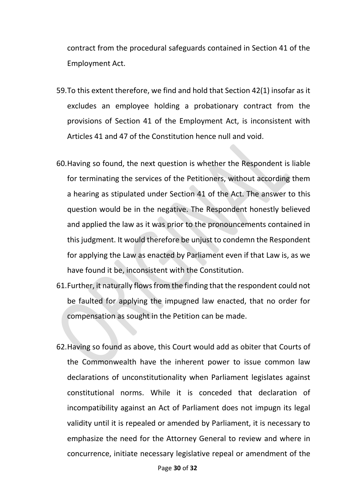contract from the procedural safeguards contained in Section 41 of the Employment Act.

- 59.To this extent therefore, we find and hold that Section 42(1) insofar as it excludes an employee holding a probationary contract from the provisions of Section 41 of the Employment Act, is inconsistent with Articles 41 and 47 of the Constitution hence null and void.
- 60.Having so found, the next question is whether the Respondent is liable for terminating the services of the Petitioners, without according them a hearing as stipulated under Section 41 of the Act. The answer to this question would be in the negative. The Respondent honestly believed and applied the law as it was prior to the pronouncements contained in this judgment. It would therefore be unjust to condemn the Respondent for applying the Law as enacted by Parliament even if that Law is, as we have found it be, inconsistent with the Constitution.
- 61.Further, it naturally flows from the finding that the respondent could not be faulted for applying the impugned law enacted, that no order for compensation as sought in the Petition can be made.
- 62.Having so found as above, this Court would add as obiter that Courts of the Commonwealth have the inherent power to issue common law declarations of unconstitutionality when Parliament legislates against constitutional norms. While it is conceded that declaration of incompatibility against an Act of Parliament does not impugn its legal validity until it is repealed or amended by Parliament, it is necessary to emphasize the need for the Attorney General to review and where in concurrence, initiate necessary legislative repeal or amendment of the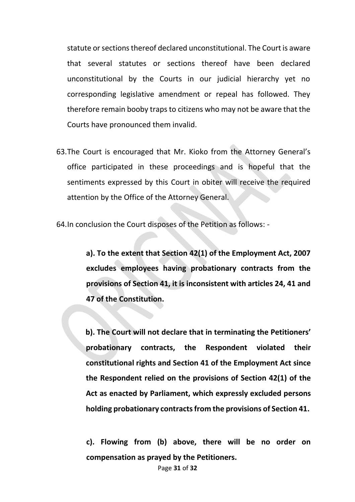statute or sections thereof declared unconstitutional. The Court is aware that several statutes or sections thereof have been declared unconstitutional by the Courts in our judicial hierarchy yet no corresponding legislative amendment or repeal has followed. They therefore remain booby traps to citizens who may not be aware that the Courts have pronounced them invalid.

63.The Court is encouraged that Mr. Kioko from the Attorney General's office participated in these proceedings and is hopeful that the sentiments expressed by this Court in obiter will receive the required attention by the Office of the Attorney General.

64.In conclusion the Court disposes of the Petition as follows: -

**a). To the extent that Section 42(1) of the Employment Act, 2007 excludes employees having probationary contracts from the provisions of Section 41, it is inconsistent with articles 24, 41 and 47 of the Constitution.**

**b). The Court will not declare that in terminating the Petitioners' probationary contracts, the Respondent violated their constitutional rights and Section 41 of the Employment Act since the Respondent relied on the provisions of Section 42(1) of the Act as enacted by Parliament, which expressly excluded persons holding probationary contracts from the provisions of Section 41.**

**c). Flowing from (b) above, there will be no order on compensation as prayed by the Petitioners.**

Page **31** of **32**